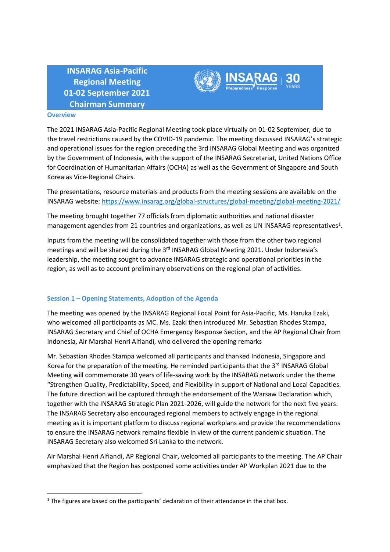**INSARAG Asia-Pacific Regional Meeting 01-02 September 2021 Chairman Summary**



## **Overview**

The 2021 INSARAG Asia-Pacific Regional Meeting took place virtually on 01-02 September, due to the travel restrictions caused by the COVID-19 pandemic. The meeting discussed INSARAG's strategic and operational issues for the region preceding the 3rd INSARAG Global Meeting and was organized by the Government of Indonesia, with the support of the INSARAG Secretariat, United Nations Office for Coordination of Humanitarian Affairs (OCHA) as well as the Government of Singapore and South Korea as Vice-Regional Chairs.

The presentations, resource materials and products from the meeting sessions are available on the INSARAG website: <https://www.insarag.org/global-structures/global-meeting/global-meeting-2021/>

The meeting brought together 77 officials from diplomatic authorities and national disaster management agencies from 21 countries and organizations, as well as UN INSARAG representatives<sup>1</sup>.

Inputs from the meeting will be consolidated together with those from the other two regional meetings and will be shared during the 3<sup>rd</sup> INSARAG Global Meeting 2021. Under Indonesia's leadership, the meeting sought to advance INSARAG strategic and operational priorities in the region, as well as to account preliminary observations on the regional plan of activities.

#### **Session 1 – Opening Statements, Adoption of the Agenda**

The meeting was opened by the INSARAG Regional Focal Point for Asia-Pacific, Ms. Haruka Ezaki, who welcomed all participants as MC. Ms. Ezaki then introduced Mr. Sebastian Rhodes Stampa, INSARAG Secretary and Chief of OCHA Emergency Response Section, and the AP Regional Chair from Indonesia, Air Marshal Henri Alfiandi, who delivered the opening remarks

Mr. Sebastian Rhodes Stampa welcomed all participants and thanked Indonesia, Singapore and Korea for the preparation of the meeting. He reminded participants that the 3<sup>rd</sup> INSARAG Global Meeting will commemorate 30 years of life-saving work by the INSARAG network under the theme "Strengthen Quality, Predictability, Speed, and Flexibility in support of National and Local Capacities. The future direction will be captured through the endorsement of the Warsaw Declaration which, together with the INSARAG Strategic Plan 2021-2026, will guide the network for the next five years. The INSARAG Secretary also encouraged regional members to actively engage in the regional meeting as it is important platform to discuss regional workplans and provide the recommendations to ensure the INSARAG network remains flexible in view of the current pandemic situation. The INSARAG Secretary also welcomed Sri Lanka to the network.

Air Marshal Henri Alfiandi, AP Regional Chair, welcomed all participants to the meeting. The AP Chair emphasized that the Region has postponed some activities under AP Workplan 2021 due to the

<sup>&</sup>lt;sup>1</sup> The figures are based on the participants' declaration of their attendance in the chat box.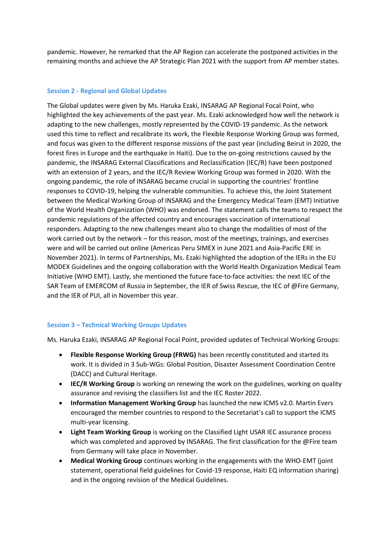pandemic. However, he remarked that the AP Region can accelerate the postponed activities in the remaining months and achieve the AP Strategic Plan 2021 with the support from AP member states.

### **Session 2 - Regional and Global Updates**

The Global updates were given by Ms. Haruka Ezaki, INSARAG AP Regional Focal Point, who highlighted the key achievements of the past year. Ms. Ezaki acknowledged how well the network is adapting to the new challenges, mostly represented by the COVID-19 pandemic. As the network used this time to reflect and recalibrate its work, the Flexible Response Working Group was formed, and focus was given to the different response missions of the past year (including Beirut in 2020, the forest fires in Europe and the earthquake in Haiti). Due to the on-going restrictions caused by the pandemic, the INSARAG External Classifications and Reclassification (IEC/R) have been postponed with an extension of 2 years, and the IEC/R Review Working Group was formed in 2020. With the ongoing pandemic, the role of INSARAG became crucial in supporting the countries' frontline responses to COVID-19, helping the vulnerable communities. To achieve this, the Joint Statement between the Medical Working Group of INSARAG and the Emergency Medical Team (EMT) Initiative of the World Health Organization (WHO) was endorsed. The statement calls the teams to respect the pandemic regulations of the affected country and encourages vaccination of international responders. Adapting to the new challenges meant also to change the modalities of most of the work carried out by the network – for this reason, most of the meetings, trainings, and exercises were and will be carried out online (Americas Peru SIMEX in June 2021 and Asia-Pacific ERE in November 2021). In terms of Partnerships, Ms. Ezaki highlighted the adoption of the IERs in the EU MODEX Guidelines and the ongoing collaboration with the World Health Organization Medical Team Initiative (WHO EMT). Lastly, she mentioned the future face-to-face activities: the next IEC of the SAR Team of EMERCOM of Russia in September, the IER of Swiss Rescue, the IEC of @Fire Germany, and the IER of PUI, all in November this year.

### **Session 3 – Technical Working Groups Updates**

Ms. Haruka Ezaki, INSARAG AP Regional Focal Point, provided updates of Technical Working Groups:

- **Flexible Response Working Group (FRWG)** has been recently constituted and started its work. It is divided in 3 Sub-WGs: Global Position, Disaster Assessment Coordination Centre (DACC) and Cultural Heritage.
- **IEC/R Working Group** is working on renewing the work on the guidelines, working on quality assurance and revising the classifiers list and the IEC Roster 2022.
- **Information Management Working Group** has launched the new ICMS v2.0. Martin Evers encouraged the member countries to respond to the Secretariat's call to support the ICMS multi-year licensing.
- **Light Team Working Group** is working on the Classified Light USAR IEC assurance process which was completed and approved by INSARAG. The first classification for the @Fire team from Germany will take place in November.
- **Medical Working Group** continues working in the engagements with the WHO-EMT (joint statement, operational field guidelines for Covid-19 response, Haiti EQ information sharing) and in the ongoing revision of the Medical Guidelines.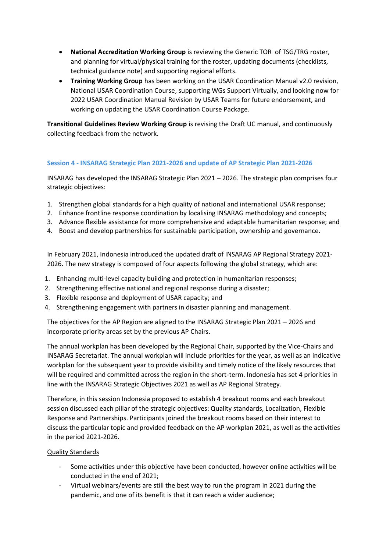- **National Accreditation Working Group** is reviewing the Generic TOR of TSG/TRG roster, and planning for virtual/physical training for the roster, updating documents (checklists, technical guidance note) and supporting regional efforts.
- **Training Working Group** has been working on the USAR Coordination Manual v2.0 revision, National USAR Coordination Course, supporting WGs Support Virtually, and looking now for 2022 USAR Coordination Manual Revision by USAR Teams for future endorsement, and working on updating the USAR Coordination Course Package.

**Transitional Guidelines Review Working Group** is revising the Draft UC manual, and continuously collecting feedback from the network.

# **Session 4 - INSARAG Strategic Plan 2021-2026 and update of AP Strategic Plan 2021-2026**

INSARAG has developed the INSARAG Strategic Plan 2021 – 2026. The strategic plan comprises four strategic objectives:

- 1. Strengthen global standards for a high quality of national and international USAR response;
- 2. Enhance frontline response coordination by localising INSARAG methodology and concepts;
- 3. Advance flexible assistance for more comprehensive and adaptable humanitarian response; and
- 4. Boost and develop partnerships for sustainable participation, ownership and governance.

In February 2021, Indonesia introduced the updated draft of INSARAG AP Regional Strategy 2021- 2026. The new strategy is composed of four aspects following the global strategy, which are:

- 1. Enhancing multi-level capacity building and protection in humanitarian responses;
- 2. Strengthening effective national and regional response during a disaster;
- 3. Flexible response and deployment of USAR capacity; and
- 4. Strengthening engagement with partners in disaster planning and management.

The objectives for the AP Region are aligned to the INSARAG Strategic Plan 2021 – 2026 and incorporate priority areas set by the previous AP Chairs.

The annual workplan has been developed by the Regional Chair, supported by the Vice-Chairs and INSARAG Secretariat. The annual workplan will include priorities for the year, as well as an indicative workplan for the subsequent year to provide visibility and timely notice of the likely resources that will be required and committed across the region in the short-term. Indonesia has set 4 priorities in line with the INSARAG Strategic Objectives 2021 as well as AP Regional Strategy.

Therefore, in this session Indonesia proposed to establish 4 breakout rooms and each breakout session discussed each pillar of the strategic objectives: Quality standards, Localization, Flexible Response and Partnerships. Participants joined the breakout rooms based on their interest to discuss the particular topic and provided feedback on the AP workplan 2021, as well as the activities in the period 2021-2026.

### Quality Standards

- Some activities under this objective have been conducted, however online activities will be conducted in the end of 2021;
- Virtual webinars/events are still the best way to run the program in 2021 during the pandemic, and one of its benefit is that it can reach a wider audience;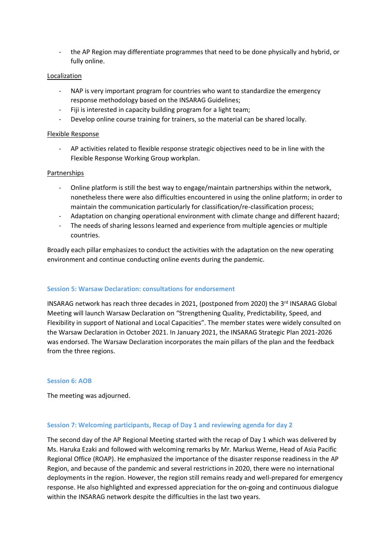- the AP Region may differentiate programmes that need to be done physically and hybrid, or fully online.

## Localization

- NAP is very important program for countries who want to standardize the emergency response methodology based on the INSARAG Guidelines;
- Fiji is interested in capacity building program for a light team;
- Develop online course training for trainers, so the material can be shared locally.

## Flexible Response

- AP activities related to flexible response strategic objectives need to be in line with the Flexible Response Working Group workplan.

### Partnerships

- Online platform is still the best way to engage/maintain partnerships within the network, nonetheless there were also difficulties encountered in using the online platform; in order to maintain the communication particularly for classification/re-classification process;
- Adaptation on changing operational environment with climate change and different hazard;
- The needs of sharing lessons learned and experience from multiple agencies or multiple countries.

Broadly each pillar emphasizes to conduct the activities with the adaptation on the new operating environment and continue conducting online events during the pandemic.

### **Session 5: Warsaw Declaration: consultations for endorsement**

INSARAG network has reach three decades in 2021, (postponed from 2020) the 3rd INSARAG Global Meeting will launch Warsaw Declaration on "Strengthening Quality, Predictability, Speed, and Flexibility in support of National and Local Capacities". The member states were widely consulted on the Warsaw Declaration in October 2021. In January 2021, the INSARAG Strategic Plan 2021-2026 was endorsed. The Warsaw Declaration incorporates the main pillars of the plan and the feedback from the three regions.

### **Session 6: AOB**

The meeting was adjourned.

### **Session 7: Welcoming participants, Recap of Day 1 and reviewing agenda for day 2**

The second day of the AP Regional Meeting started with the recap of Day 1 which was delivered by Ms. Haruka Ezaki and followed with welcoming remarks by Mr. Markus Werne, Head of Asia Pacific Regional Office (ROAP). He emphasized the importance of the disaster response readiness in the AP Region, and because of the pandemic and several restrictions in 2020, there were no international deployments in the region. However, the region still remains ready and well-prepared for emergency response. He also highlighted and expressed appreciation for the on-going and continuous dialogue within the INSARAG network despite the difficulties in the last two years.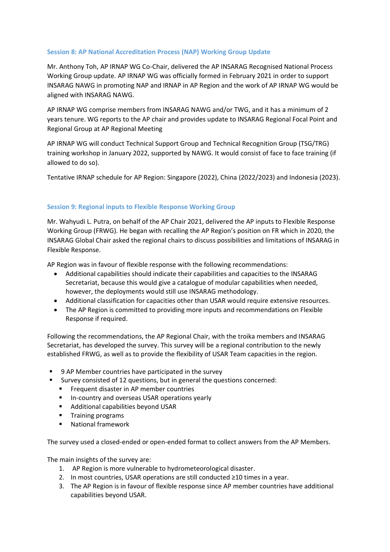# **Session 8: AP National Accreditation Process (NAP) Working Group Update**

Mr. Anthony Toh, AP IRNAP WG Co-Chair, delivered the AP INSARAG Recognised National Process Working Group update. AP IRNAP WG was officially formed in February 2021 in order to support INSARAG NAWG in promoting NAP and IRNAP in AP Region and the work of AP IRNAP WG would be aligned with INSARAG NAWG.

AP IRNAP WG comprise members from INSARAG NAWG and/or TWG, and it has a minimum of 2 years tenure. WG reports to the AP chair and provides update to INSARAG Regional Focal Point and Regional Group at AP Regional Meeting

AP IRNAP WG will conduct Technical Support Group and Technical Recognition Group (TSG/TRG) training workshop in January 2022, supported by NAWG. It would consist of face to face training (if allowed to do so).

Tentative IRNAP schedule for AP Region: Singapore (2022), China (2022/2023) and Indonesia (2023).

# **Session 9: Regional inputs to Flexible Response Working Group**

Mr. Wahyudi L. Putra, on behalf of the AP Chair 2021, delivered the AP inputs to Flexible Response Working Group (FRWG). He began with recalling the AP Region's position on FR which in 2020, the INSARAG Global Chair asked the regional chairs to discuss possibilities and limitations of INSARAG in Flexible Response.

AP Region was in favour of flexible response with the following recommendations:

- Additional capabilities should indicate their capabilities and capacities to the INSARAG Secretariat, because this would give a catalogue of modular capabilities when needed, however, the deployments would still use INSARAG methodology.
- Additional classification for capacities other than USAR would require extensive resources.
- The AP Region is committed to providing more inputs and recommendations on Flexible Response if required.

Following the recommendations, the AP Regional Chair, with the troika members and INSARAG Secretariat, has developed the survey. This survey will be a regional contribution to the newly established FRWG, as well as to provide the flexibility of USAR Team capacities in the region.

- 9 AP Member countries have participated in the survey
- Survey consisted of 12 questions, but in general the questions concerned:
	- Frequent disaster in AP member countries
	- In-country and overseas USAR operations yearly
	- Additional capabilities beyond USAR
	- **•** Training programs
	- National framework

The survey used a closed-ended or open-ended format to collect answers from the AP Members.

The main insights of the survey are:

- 1. AP Region is more vulnerable to hydrometeorological disaster.
- 2. In most countries, USAR operations are still conducted ≥10 times in a year.
- 3. The AP Region is in favour of flexible response since AP member countries have additional capabilities beyond USAR.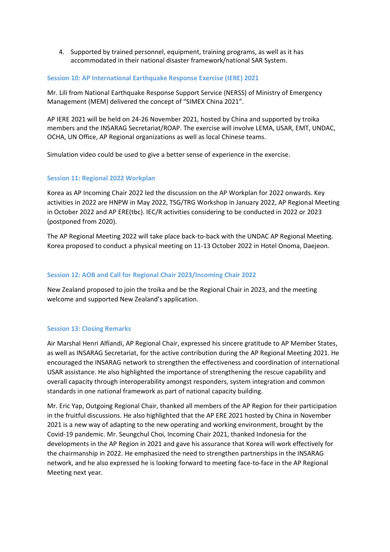4. Supported by trained personnel, equipment, training programs, as well as it has accommodated in their national disaster framework/national SAR System.

#### **Session 10: AP International Earthquake Response Exercise (IERE) 2021**

Mr. Lili from National Earthquake Response Support Service (NERSS) of Ministry of Emergency Management (MEM) delivered the concept of "SIMEX China 2021".

AP IERE 2021 will be held on 24-26 November 2021, hosted by China and supported by troika members and the INSARAG Secretariat/ROAP. The exercise will involve LEMA, USAR, EMT, UNDAC, OCHA, UN Office, AP Regional organizations as well as local Chinese teams.

Simulation video could be used to give a better sense of experience in the exercise.

#### **Session 11: Regional 2022 Workplan**

Korea as AP Incoming Chair 2022 led the discussion on the AP Workplan for 2022 onwards. Key activities in 2022 are HNPW in May 2022, TSG/TRG Workshop in January 2022, AP Regional Meeting in October 2022 and AP ERE(tbc). IEC/R activities considering to be conducted in 2022 or 2023 (postponed from 2020).

The AP Regional Meeting 2022 will take place back-to-back with the UNDAC AP Regional Meeting. Korea proposed to conduct a physical meeting on 11-13 October 2022 in Hotel Onoma, Daejeon.

#### **Session 12: AOB and Call for Regional Chair 2023/Incoming Chair 2022**

New Zealand proposed to join the troika and be the Regional Chair in 2023, and the meeting welcome and supported New Zealand's application.

### **Session 13: Closing Remarks**

Air Marshal Henri Alfiandi, AP Regional Chair, expressed his sincere gratitude to AP Member States, as well as INSARAG Secretariat, for the active contribution during the AP Regional Meeting 2021. He encouraged the INSARAG network to strengthen the effectiveness and coordination of international USAR assistance. He also highlighted the importance of strengthening the rescue capability and overall capacity through interoperability amongst responders, system integration and common standards in one national framework as part of national capacity building.

Mr. Eric Yap, Outgoing Regional Chair, thanked all members of the AP Region for their participation in the fruitful discussions. He also highlighted that the AP ERE 2021 hosted by China in November 2021 is a new way of adapting to the new operating and working environment, brought by the Covid-19 pandemic. Mr. Seungchul Choi, Incoming Chair 2021, thanked Indonesia for the developments in the AP Region in 2021 and gave his assurance that Korea will work effectively for the chairmanship in 2022. He emphasized the need to strengthen partnerships in the INSARAG network, and he also expressed he is looking forward to meeting face-to-face in the AP Regional Meeting next year.